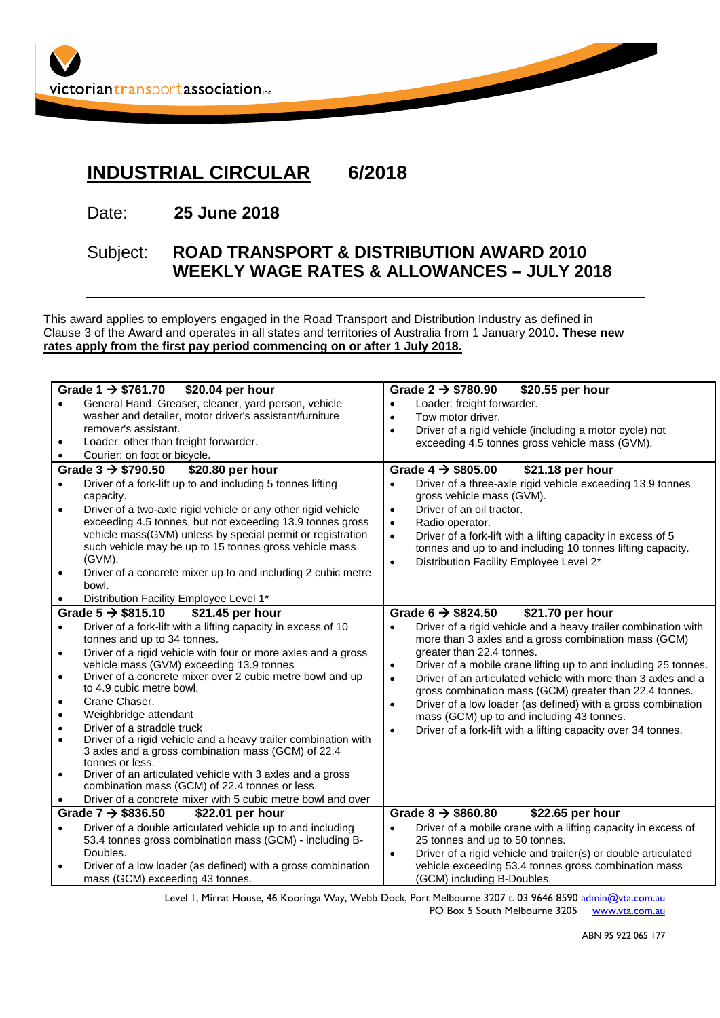

## **INDUSTRIAL CIRCULAR 6/2018**

Date: **25 June 2018**

## Subject: **ROAD TRANSPORT & DISTRIBUTION AWARD 2010 WEEKLY WAGE RATES & ALLOWANCES – JULY 2018**

This award applies to employers engaged in the Road Transport and Distribution Industry as defined in Clause 3 of the Award and operates in all states and territories of Australia from 1 January 2010**. These new rates apply from the first pay period commencing on or after 1 July 2018.**

|                                                   | Grade $1 \rightarrow $761.70$ \$20.04 per hour                 | \$20.55 per hour<br>Grade 2 $\rightarrow$ \$780.90                           |  |
|---------------------------------------------------|----------------------------------------------------------------|------------------------------------------------------------------------------|--|
|                                                   | General Hand: Greaser, cleaner, yard person, vehicle           | Loader: freight forwarder.<br>$\bullet$                                      |  |
|                                                   | washer and detailer, motor driver's assistant/furniture        | Tow motor driver.<br>$\bullet$                                               |  |
|                                                   | remover's assistant.                                           | Driver of a rigid vehicle (including a motor cycle) not<br>$\bullet$         |  |
| $\bullet$                                         | Loader: other than freight forwarder.                          | exceeding 4.5 tonnes gross vehicle mass (GVM).                               |  |
|                                                   | Courier: on foot or bicycle.                                   |                                                                              |  |
|                                                   |                                                                |                                                                              |  |
|                                                   | Grade $3 \rightarrow $790.50$<br>\$20.80 per hour              | Grade $4 \rightarrow $805.00$<br>\$21.18 per hour                            |  |
| $\bullet$                                         | Driver of a fork-lift up to and including 5 tonnes lifting     | Driver of a three-axle rigid vehicle exceeding 13.9 tonnes<br>$\bullet$      |  |
|                                                   | capacity.                                                      | gross vehicle mass (GVM).                                                    |  |
| $\bullet$                                         | Driver of a two-axle rigid vehicle or any other rigid vehicle  | Driver of an oil tractor.<br>$\bullet$                                       |  |
|                                                   | exceeding 4.5 tonnes, but not exceeding 13.9 tonnes gross      | Radio operator.<br>$\bullet$                                                 |  |
|                                                   | vehicle mass(GVM) unless by special permit or registration     | Driver of a fork-lift with a lifting capacity in excess of 5<br>$\bullet$    |  |
|                                                   | such vehicle may be up to 15 tonnes gross vehicle mass         | tonnes and up to and including 10 tonnes lifting capacity.                   |  |
|                                                   | (GVM).                                                         | Distribution Facility Employee Level 2*<br>$\bullet$                         |  |
| $\bullet$                                         | Driver of a concrete mixer up to and including 2 cubic metre   |                                                                              |  |
|                                                   | bowl.                                                          |                                                                              |  |
|                                                   | Distribution Facility Employee Level 1*                        |                                                                              |  |
| Grade $5 \rightarrow $815.10$<br>\$21.45 per hour |                                                                | Grade 6 $\rightarrow$ \$824.50<br>\$21.70 per hour                           |  |
| $\bullet$                                         | Driver of a fork-lift with a lifting capacity in excess of 10  | Driver of a rigid vehicle and a heavy trailer combination with<br>$\bullet$  |  |
|                                                   | tonnes and up to 34 tonnes.                                    | more than 3 axles and a gross combination mass (GCM)                         |  |
| $\bullet$                                         | Driver of a rigid vehicle with four or more axles and a gross  | greater than 22.4 tonnes.                                                    |  |
|                                                   | vehicle mass (GVM) exceeding 13.9 tonnes                       | Driver of a mobile crane lifting up to and including 25 tonnes.<br>$\bullet$ |  |
| $\bullet$                                         | Driver of a concrete mixer over 2 cubic metre bowl and up      | Driver of an articulated vehicle with more than 3 axles and a<br>$\bullet$   |  |
|                                                   | to 4.9 cubic metre bowl.                                       | gross combination mass (GCM) greater than 22.4 tonnes.                       |  |
| $\bullet$                                         | Crane Chaser.                                                  | Driver of a low loader (as defined) with a gross combination<br>$\bullet$    |  |
| $\bullet$                                         | Weighbridge attendant                                          | mass (GCM) up to and including 43 tonnes.                                    |  |
| $\bullet$                                         | Driver of a straddle truck                                     | Driver of a fork-lift with a lifting capacity over 34 tonnes.<br>$\bullet$   |  |
| $\bullet$                                         | Driver of a rigid vehicle and a heavy trailer combination with |                                                                              |  |
|                                                   | 3 axles and a gross combination mass (GCM) of 22.4             |                                                                              |  |
|                                                   | tonnes or less.                                                |                                                                              |  |
| $\bullet$                                         | Driver of an articulated vehicle with 3 axles and a gross      |                                                                              |  |
|                                                   | combination mass (GCM) of 22.4 tonnes or less.                 |                                                                              |  |
|                                                   | Driver of a concrete mixer with 5 cubic metre bowl and over    |                                                                              |  |
| Grade $7 \rightarrow $836.50$<br>\$22.01 per hour |                                                                | Grade $8 \rightarrow $860.80$<br>\$22.65 per hour                            |  |
| $\bullet$                                         | Driver of a double articulated vehicle up to and including     | Driver of a mobile crane with a lifting capacity in excess of<br>$\bullet$   |  |
|                                                   | 53.4 tonnes gross combination mass (GCM) - including B-        | 25 tonnes and up to 50 tonnes.                                               |  |
|                                                   | Doubles.                                                       | Driver of a rigid vehicle and trailer(s) or double articulated<br>$\bullet$  |  |
| $\bullet$                                         | Driver of a low loader (as defined) with a gross combination   | vehicle exceeding 53.4 tonnes gross combination mass                         |  |
|                                                   | mass (GCM) exceeding 43 tonnes.                                | (GCM) including B-Doubles.                                                   |  |

Level 1, Mirrat House, 46 Kooringa Way, Webb Dock, Port Melbourne 3207 t. 03 9646 859[0 admin@vta.com.au](mailto:admin@vta.com.au) PO Box 5 South Melbourne 3205 [www.vta.com.au](http://www.vta.com.au/)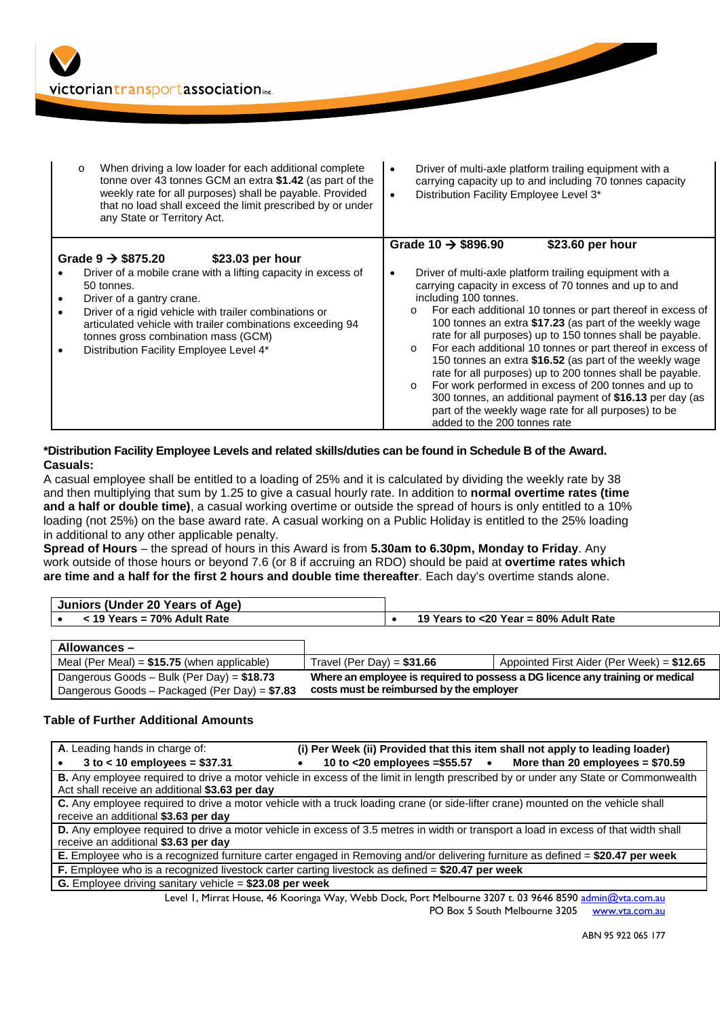

| When driving a low loader for each additional complete<br>$\circ$<br>tonne over 43 tonnes GCM an extra \$1.42 (as part of the<br>weekly rate for all purposes) shall be payable. Provided<br>that no load shall exceed the limit prescribed by or under<br>any State or Territory Act. | Driver of multi-axle platform trailing equipment with a<br>$\bullet$<br>carrying capacity up to and including 70 tonnes capacity<br>Distribution Facility Employee Level 3*<br>$\bullet$                                                                               |
|----------------------------------------------------------------------------------------------------------------------------------------------------------------------------------------------------------------------------------------------------------------------------------------|------------------------------------------------------------------------------------------------------------------------------------------------------------------------------------------------------------------------------------------------------------------------|
|                                                                                                                                                                                                                                                                                        | Grade 10 $\rightarrow$ \$896.90<br>\$23.60 per hour                                                                                                                                                                                                                    |
| Grade $9 \rightarrow $875.20$<br>\$23.03 per hour                                                                                                                                                                                                                                      |                                                                                                                                                                                                                                                                        |
| Driver of a mobile crane with a lifting capacity in excess of                                                                                                                                                                                                                          | Driver of multi-axle platform trailing equipment with a<br>٠                                                                                                                                                                                                           |
| 50 tonnes.                                                                                                                                                                                                                                                                             | carrying capacity in excess of 70 tonnes and up to and                                                                                                                                                                                                                 |
| Driver of a gantry crane.                                                                                                                                                                                                                                                              | including 100 tonnes.                                                                                                                                                                                                                                                  |
| Driver of a rigid vehicle with trailer combinations or<br>articulated vehicle with trailer combinations exceeding 94<br>tonnes gross combination mass (GCM)<br>Distribution Facility Employee Level 4*                                                                                 | For each additional 10 tonnes or part thereof in excess of<br>$\circ$<br>100 tonnes an extra \$17.23 (as part of the weekly wage<br>rate for all purposes) up to 150 tonnes shall be payable.<br>For each additional 10 tonnes or part thereof in excess of<br>$\circ$ |
|                                                                                                                                                                                                                                                                                        | 150 tonnes an extra \$16.52 (as part of the weekly wage<br>rate for all purposes) up to 200 tonnes shall be payable.                                                                                                                                                   |
|                                                                                                                                                                                                                                                                                        | For work performed in excess of 200 tonnes and up to<br>300 tonnes, an additional payment of \$16.13 per day (as                                                                                                                                                       |
|                                                                                                                                                                                                                                                                                        | part of the weekly wage rate for all purposes) to be                                                                                                                                                                                                                   |
|                                                                                                                                                                                                                                                                                        | added to the 200 tonnes rate                                                                                                                                                                                                                                           |

## **\*Distribution Facility Employee Levels and related skills/duties can be found in Schedule B of the Award. Casuals:**

A casual employee shall be entitled to a loading of 25% and it is calculated by dividing the weekly rate by 38 and then multiplying that sum by 1.25 to give a casual hourly rate. In addition to **normal overtime rates (time and a half or double time)**, a casual working overtime or outside the spread of hours is only entitled to a 10% loading (not 25%) on the base award rate. A casual working on a Public Holiday is entitled to the 25% loading in additional to any other applicable penalty.

**Spread of Hours** – the spread of hours in this Award is from **5.30am to 6.30pm, Monday to Friday**. Any work outside of those hours or beyond 7.6 (or 8 if accruing an RDO) should be paid at **overtime rates which are time and a half for the first 2 hours and double time thereafter**. Each day's overtime stands alone.

| Juniors (Under 20 Years of Age) |                                          |
|---------------------------------|------------------------------------------|
| $<$ 19 Years = 70% Adult Rate   | 19 Years to $<$ 20 Year = 80% Adult Rate |

| Allowances –                                   |                                                                               |                                             |
|------------------------------------------------|-------------------------------------------------------------------------------|---------------------------------------------|
| Meal (Per Meal) = $$15.75$ (when applicable)   | Travel (Per Day) = $$31.66$                                                   | Appointed First Aider (Per Week) = $$12.65$ |
| Dangerous Goods - Bulk (Per Day) = $$18.73$    | Where an employee is required to possess a DG licence any training or medical |                                             |
| Dangerous Goods – Packaged (Per Day) = $$7.83$ | costs must be reimbursed by the employer                                      |                                             |

## **Table of Further Additional Amounts**

| A. Leading hands in charge of:                                                                                                       | (i) Per Week (ii) Provided that this item shall not apply to leading loader)                                                                                                                                                                                      |  |  |  |
|--------------------------------------------------------------------------------------------------------------------------------------|-------------------------------------------------------------------------------------------------------------------------------------------------------------------------------------------------------------------------------------------------------------------|--|--|--|
| $3$ to < 10 employees = \$37.31                                                                                                      | 10 to <20 employees = $$55.57$ . More than 20 employees = $$70.59$                                                                                                                                                                                                |  |  |  |
| B. Any employee required to drive a motor vehicle in excess of the limit in length prescribed by or under any State or Commonwealth  |                                                                                                                                                                                                                                                                   |  |  |  |
| Act shall receive an additional \$3.63 per day                                                                                       |                                                                                                                                                                                                                                                                   |  |  |  |
| C. Any employee required to drive a motor vehicle with a truck loading crane (or side-lifter crane) mounted on the vehicle shall     |                                                                                                                                                                                                                                                                   |  |  |  |
| receive an additional \$3.63 per day                                                                                                 |                                                                                                                                                                                                                                                                   |  |  |  |
| D. Any employee required to drive a motor vehicle in excess of 3.5 metres in width or transport a load in excess of that width shall |                                                                                                                                                                                                                                                                   |  |  |  |
| receive an additional \$3.63 per day                                                                                                 |                                                                                                                                                                                                                                                                   |  |  |  |
| E. Employee who is a recognized furniture carter engaged in Removing and/or delivering furniture as defined = \$20.47 per week       |                                                                                                                                                                                                                                                                   |  |  |  |
| F. Employee who is a recognized livestock carter carting livestock as defined = \$20.47 per week                                     |                                                                                                                                                                                                                                                                   |  |  |  |
| G. Employee driving sanitary vehicle = \$23.08 per week                                                                              |                                                                                                                                                                                                                                                                   |  |  |  |
|                                                                                                                                      | $\mathbf{A}$ is the set of the set of the set of $\mathbf{A}$ is the set of $\mathbf{A}$ is the set of $\mathbf{A}$ is the set of $\mathbf{A}$ is the set of $\mathbf{A}$ is the set of $\mathbf{A}$ is the set of $\mathbf{A}$ is the set of $\mathbf{A}$ is the |  |  |  |

Level 1, Mirrat House, 46 Kooringa Way, Webb Dock, Port Melbourne 3207 t. 03 9646 859[0 admin@vta.com.au](mailto:admin@vta.com.au) PO Box 5 South Melbourne 3205 [www.vta.com.au](http://www.vta.com.au/)